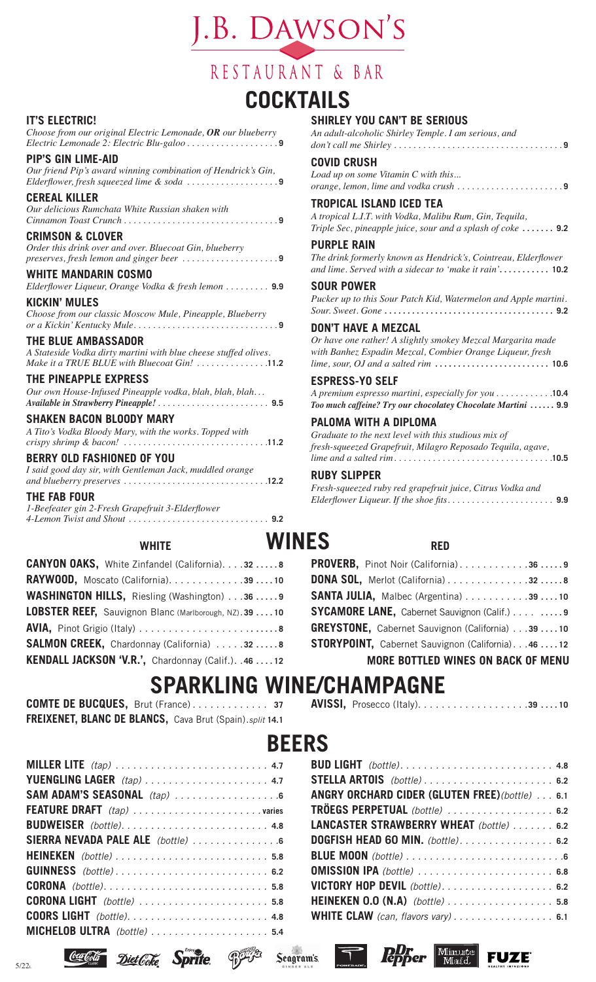.B. DAWSON'S

# RESTAURANT & BAR **COCKTAILS**

#### **IT'S ELECTRIC!**

*Choose from our original Electric Lemonade, OR our blueberry Electric Lemonade 2: Electric Blu-galoo . . . . . . . . . . . . . . . . . .* **9**

**PIP'S GIN LIME-AID** *Our friend Pip's award winning combination of Hendrick's Gin, Elderflower, fresh squeezed lime & soda . . . . . . . . . . . . . . . . . .* **9**

**CEREAL KILLER** *Our delicious Rumchata White Russian shaken with Cinnamon Toast Crunch . . . . . . . . . . . . . . . . . . . . . . . . . . . . . . .* **9**

#### **CRIMSON & CLOVER**

*Order this drink over and over. Bluecoat Gin, blueberry preserves, fresh lemon and ginger beer . . . . . . . . . . . . . . . . . . .* **9**

**WHITE MANDARIN COSMO** *Elderflower Liqueur, Orange Vodka & fresh lemon . . . . . . . . .* **9.9**

## **KICKIN' MULES**

*Choose from our classic Moscow Mule, Pineapple, Blueberry or a Kickin' Kentucky Mule . . . . . . . . . . . . . . . . . . . . . . . . . . . . .* **9**

#### **THE BLUE AMBASSADOR**

*A Stateside Vodka dirty martini with blue cheese stuffed olives. Make it a TRUE BLUE with Bluecoat Gin! . . . . . . . . . . . . . .* **11.2**

#### **THE PINEAPPLE EXPRESS**

*Our own House-Infused Pineapple vodka, blah, blah, blah... Available in Strawberry Pineapple! . . . . . . . . . . . . . . . . . . . . . . .* **9.5**

#### **SHAKEN BACON BLOODY MARY**

*A Tito's Vodka Bloody Mary, with the works. Topped with crispy shrimp & bacon! . . . . . . . . . . . . . . . . . . . . . . . . . . . . .* **11.2**

#### **BERRY OLD FASHIONED OF YOU**

*I said good day sir, with Gentleman Jack, muddled orange and blueberry preserves . . . . . . . . . . . . . . . . . . . . . . . . . . . . .* **12.2**

#### **THE FAB FOUR**

| 1-Beefeater gin 2-Fresh Grapefruit 3-Elderflower |  |
|--------------------------------------------------|--|
|                                                  |  |

| <b>CANYON OAKS, White Zinfandel (California). 32  8</b> |
|---------------------------------------------------------|
| RAYWOOD, Moscato (California). 39 10                    |
| WASHINGTON HILLS, Riesling (Washington) 36 9            |
| LOBSTER REEF, Sauvignon Blanc (Marlborough, NZ). 39  10 |
|                                                         |
| SALMON CREEK, Chardonnay (California) 32 8              |
| KENDALL JACKSON 'V.R.', Chardonnay (Calif.). .46  12    |

| VI AINNHIV IV                                            |
|----------------------------------------------------------|
| <b>COMTE DE BUCQUES, Brut (France) 37</b>                |
| FREIXENET, BLANC DE BLANCS, Cava Brut (Spain).split 14.1 |

| SAM ADAM'S SEASONAL (tap)       |
|---------------------------------|
|                                 |
|                                 |
| SIERRA NEVADA PALE ALE (bottle) |
|                                 |
| <b>GUINNESS</b> (bottle) 6.2    |
|                                 |
|                                 |
|                                 |
|                                 |

### **SHIRLEY YOU CAN'T BE SERIOUS**

| An adult-alcoholic Shirley Temple. I am serious, and |
|------------------------------------------------------|
|                                                      |

#### **COVID CRUSH**

*Load up on some Vitamin C with this... orange, lemon, lime and vodka crush . . . . . . . . . . . . . . . . . . . . .* **9**

#### **TROPICAL ISLAND ICED TEA**

*A tropical L.I.T. with Vodka, Malibu Rum, Gin, Tequila, Triple Sec, pineapple juice, sour and a splash of coke* **. . 9.2**

#### **PURPLE RAIN**

*The drink formerly known as Hendrick's, Cointreau, Elderflower and lime. Served with a sidecar to 'make it rain'***. . . . . . . . . . . 10.2**

#### **SOUR POWER**

*Pucker up to this Sour Patch Kid, Watermelon and Apple martini. Sour. Sweet. Gone***. . 9.2**

#### **DON'T HAVE A MEZCAL**

*Or have one rather! A slightly smokey Mezcal Margarita made with Banhez Espadin Mezcal, Combier Orange Liqueur, fresh lime, sour, OJ and a salted rim***. . 10.6**

#### **ESPRESS-YO SELF**

*A premium espresso martini, especially for you . . . . . . . . . . .* **10.4** *Too much caffeine? Try our chocolatey Chocolate Martini* **. . . . . . 9.9**

#### **PALOMA WITH A DIPLOMA**

*Graduate to the next level with this studious mix of fresh-squeezed Grapefruit, Milagro Reposado Tequila, agave, lime and a salted rim . . . . . . . . . . . . . . . . . . . . . . . . . . . . . . . .* **10.5**

#### **RUBY SLIPPER**

*Fresh-squeezed ruby red grapefruit juice, Citrus Vodka and Elderflower Liqueur. If the shoe fits . . . . . . . . . . . . . . . . . . . . . .* **9.9**

# **WHITE WINES**

**RED**

| PROVERB, Pinot Noir (California). 36 9              |  |
|-----------------------------------------------------|--|
|                                                     |  |
| SANTA JULIA, Malbec (Argentina) 39 10               |  |
| <b>SYCAMORE LANE, Cabernet Sauvignon (Calif.) 9</b> |  |
| GREYSTONE, Cabernet Sauvignon (California) 39 10    |  |
| STORYPOINT, Cabernet Sauvignon (California). 46 12  |  |
| <b>MORE BOTTLED WINES ON BACK OF MENU</b>           |  |

# **SPARKLING WINE/CHAMPAGNE**

|--|--|--|

# **BEERS**

| STELLA ARTOIS (bottle) 6.2                     |  |
|------------------------------------------------|--|
| ANGRY ORCHARD CIDER (GLUTEN FREE) (bottle) 6.1 |  |
| TRÖEGS PERPETUAL (bottle)  6.2                 |  |
| LANCASTER STRAWBERRY WHEAT (bottle)  6.2       |  |
| DOGFISH HEAD 60 MIN. (bottle). 6.2             |  |
|                                                |  |
| <b>OMISSION IPA</b> (bottle)  6.8              |  |
| VICTORY HOP DEVIL (bottle). 6.2                |  |
| HEINEKEN 0.0 (N.A) (bottle) 5.8                |  |
| WHITE CLAW (can, flavors vary) 6.1             |  |









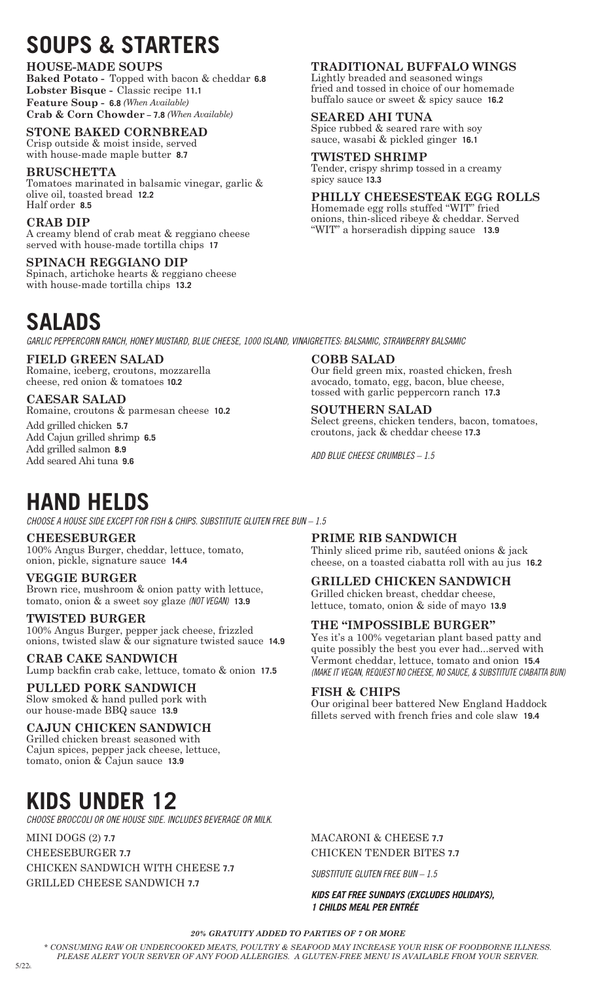# **SOUPS & STARTERS**

## **HOUSE-MADE SOUPS**

**Baked Potato -** Topped with bacon & cheddar **6.8 Lobster Bisque -** Classic recipe **11.1 Feature Soup -****6.8** *(When Available)* **Crab & Corn Chowder – 7.8** *(When Available)*

# **STONE BAKED CORNBREAD**

Crisp outside & moist inside, served with house-made maple butter **8.7**

### **BRUSCHETTA**

Tomatoes marinated in balsamic vinegar, garlic & olive oil, toasted bread **12.2** Half order **8.5**

#### **CRAB DIP**

A creamy blend of crab meat & reggiano cheese served with house-made tortilla chips **17**

#### **SPINACH REGGIANO DIP**

Spinach, artichoke hearts & reggiano cheese with house-made tortilla chips **13.2**

# **SALADS**

#### **FIELD GREEN SALAD** Romaine, iceberg, croutons, mozzarella cheese, red onion & tomatoes **10.2**

**CAESAR SALAD** Romaine, croutons & parmesan cheese **10.2** Add grilled chicken **5.7** Add Cajun grilled shrimp **6.5** Add grilled salmon **8.9** Add seared Ahi tuna **9.6**

# **TRADITIONAL BUFFALO WINGS**

Lightly breaded and seasoned wings fried and tossed in choice of our homemade buffalo sauce or sweet & spicy sauce **16.2**

### **SEARED AHI TUNA**

Spice rubbed & seared rare with soy sauce, wasabi & pickled ginger **16.1**

**TWISTED SHRIMP** Tender, crispy shrimp tossed in a creamy spicy sauce **13.3**

# **PHILLY CHEESESTEAK EGG ROLLS**

Homemade egg rolls stuffed "WIT" fried onions, thin-sliced ribeye & cheddar. Served "WIT" a horseradish dipping sauce **13.9**

### *GARLIC PEPPERCORN RANCH, HONEY MUSTARD, BLUE CHEESE, 1000 ISLAND, VINAIGRETTES: BALSAMIC, STRAWBERRY BALSAMIC*

**COBB SALAD** Our field green mix, roasted chicken, fresh avocado, tomato, egg, bacon, blue cheese, tossed with garlic peppercorn ranch **17.3**

**SOUTHERN SALAD** Select greens, chicken tenders, bacon, tomatoes, croutons, jack & cheddar cheese **17.3**

Thinly sliced prime rib, sautéed onions & jack cheese, on a toasted ciabatta roll with au jus **16.2**

**GRILLED CHICKEN SANDWICH** Grilled chicken breast, cheddar cheese, lettuce, tomato, onion & side of mayo **13.9**

**THE "IMPOSSIBLE BURGER"**

*ADD BLUE CHEESE CRUMBLES – 1.5*

# **HAND HELDS**

*CHOOSE A HOUSE SIDE EXCEPT FOR FISH & CHIPS. SUBSTITUTE GLUTEN FREE BUN – 1.5*

**CHEESEBURGER** 100% Angus Burger, cheddar, lettuce, tomato, onion, pickle, signature sauce **14.4**

**VEGGIE BURGER** Brown rice, mushroom & onion patty with lettuce, tomato, onion & a sweet soy glaze *(NOT VEGAN)* **13.9**

#### **TWISTED BURGER** 100% Angus Burger, pepper jack cheese, frizzled onions, twisted slaw & our signature twisted sauce **14.9**

**CRAB CAKE SANDWICH** Lump backfin crab cake, lettuce, tomato & onion **17.5**

**PULLED PORK SANDWICH** Slow smoked & hand pulled pork with our house-made BBQ sauce **13.9**

**CAJUN CHICKEN SANDWICH** Grilled chicken breast seasoned with Cajun spices, pepper jack cheese, lettuce, tomato, onion & Cajun sauce **13.9**

# **KIDS UNDER 12**

*CHOOSE BROCCOLI OR ONE HOUSE SIDE. INCLUDES BEVERAGE OR MILK.* 

MINI DOGS (2) **7.7**

CHEESEBURGER **7.7** CHICKEN SANDWICH WITH CHEESE **7.7** GRILLED CHEESE SANDWICH **7.7**

Yes it's a 100% vegetarian plant based patty and

**PRIME RIB SANDWICH**

quite possibly the best you ever had...served with Vermont cheddar, lettuce, tomato and onion **15.4** *(MAKE IT VEGAN, REQUEST NO CHEESE, NO SAUCE, & SUBSTITUTE CIABATTA BUN)*

### **FISH & CHIPS**

Our original beer battered New England Haddock fillets served with french fries and cole slaw **19.4**

MACARONI & CHEESE **7.7** CHICKEN TENDER BITES **7.7**

*SUBSTITUTE GLUTEN FREE BUN – 1.5*

*KIDS EAT FREE SUNDAYS (EXCLUDES HOLIDAYS), 1 CHILDS MEAL PER ENTRÉE*

*20% GRATUITY ADDED TO PARTIES OF 7 OR MORE*

*\* CONSUMING RAW OR UNDERCOOKED MEATS, POULTRY & SEAFOOD MAY INCREASE YOUR RISK OF FOODBORNE ILLNESS. PLEASE ALERT YOUR SERVER OF ANY FOOD ALLERGIES. A GLUTEN-FREE MENU IS AVAILABLE FROM YOUR SERVER.*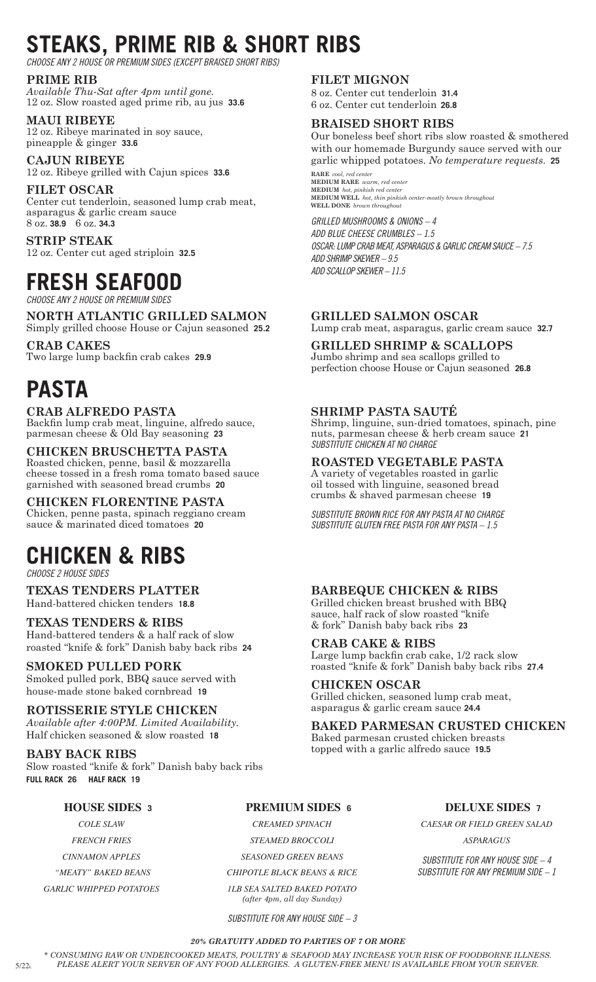# **STEAKS, PRIME RIB & SHORT RIBS**

*CHOOSE ANY 2 HOUSE OR PREMIUM SIDES (EXCEPT BRAISED SHORT RIBS)*

#### **PRIME RIB**

*Available Thu-Sat after 4pm until gone.* 12 oz. Slow roasted aged prime rib, au jus **33.6**

**MAUI RIBEYE** 12 oz. Ribeye marinated in soy sauce, pineapple & ginger **33.6**

**CAJUN RIBEYE** 12 oz. Ribeye grilled with Cajun spices **33.6**

### **FILET OSCAR**

Center cut tenderloin, seasoned lump crab meat, asparagus & garlic cream sauce 8 oz. **38.9** 6 oz. **34.3**

**STRIP STEAK** 12 oz. Center cut aged striploin **32.5**

# **FRESH SEAFOOD**

*CHOOSE ANY 2 HOUSE OR PREMIUM SIDES*

### **NORTH ATLANTIC GRILLED SALMON**

Simply grilled choose House or Cajun seasoned **25.2**

**CRAB CAKES** Two large lump backfin crab cakes **29.9**

# **PASTA**

**CRAB ALFREDO PASTA** Backfin lump crab meat, linguine, alfredo sauce, parmesan cheese & Old Bay seasoning **23**

### **CHICKEN BRUSCHETTA PASTA**

Roasted chicken, penne, basil & mozzarella cheese tossed in a fresh roma tomato based sauce garnished with seasoned bread crumbs **20**

### **CHICKEN FLORENTINE PASTA**

Chicken, penne pasta, spinach reggiano cream sauce & marinated diced tomatoes **20**

# **CHICKEN & RIBS**

*CHOOSE 2 HOUSE SIDES*

**TEXAS TENDERS PLATTER** Hand-battered chicken tenders **18.8**

## **TEXAS TENDERS & RIBS**

Hand-battered tenders & a half rack of slow roasted "knife & fork" Danish baby back ribs **24**

### **SMOKED PULLED PORK**

Smoked pulled pork, BBQ sauce served with house-made stone baked cornbread **19**

### **ROTISSERIE STYLE CHICKEN**

*Available after 4:00PM. Limited Availability.* Half chicken seasoned & slow roasted **18**

### **BABY BACK RIBS**

Slow roasted "knife & fork" Danish baby back ribs **FULL RACK 26 HALF RACK 19**

### **HOUSE SIDES 3**

*COLE SLAW FRENCH FRIES CINNAMON APPLES "MEATY" BAKED BEANS GARLIC WHIPPED POTATOES* 

#### **FILET MIGNON**

8 oz. Center cut tenderloin **31.4** 6 oz. Center cut tenderloin **26.8**

### **BRAISED SHORT RIBS**

Our boneless beef short ribs slow roasted & smothered with our homemade Burgundy sauce served with our garlic whipped potatoes. *No temperature requests.* **25 RARE** *cool, red center*

**MEDIUM RARE** *warm, red center* **MEDIUM** *hot, pinkish red center* **MEDIUM WELL** *hot, thin pinkish center-mostly brown throughout* **WELL DONE** *brown throughout*

*GRILLED MUSHROOMS & ONIONS – 4 ADD BLUE CHEESE CRUMBLES – 1.5 OSCAR: LUMP CRAB MEAT, ASPARAGUS & GARLIC CREAM SAUCE – 7.5 ADD SHRIMP SKEWER – 9.5 ADD SCALLOP SKEWER – 11.5*

### **GRILLED SALMON OSCAR**

Lump crab meat, asparagus, garlic cream sauce **32.7**

### **GRILLED SHRIMP & SCALLOPS**

Jumbo shrimp and sea scallops grilled to perfection choose House or Cajun seasoned **26.8**

### **SHRIMP PASTA SAUTÉ**

Shrimp, linguine, sun-dried tomatoes, spinach, pine nuts, parmesan cheese & herb cream sauce **21** *SUBSTITUTE CHICKEN AT NO CHARGE*

### **ROASTED VEGETABLE PASTA**

A variety of vegetables roasted in garlic oil tossed with linguine, seasoned bread crumbs & shaved parmesan cheese **19**

*SUBSTITUTE BROWN RICE FOR ANY PASTA AT NO CHARGE SUBSTITUTE GLUTEN FREE PASTA FOR ANY PASTA – 1.5*

### **BARBEQUE CHICKEN & RIBS**

Grilled chicken breast brushed with BBQ sauce, half rack of slow roasted "knife & fork" Danish baby back ribs **23**

#### **CRAB CAKE & RIBS**

Large lump backfin crab cake, 1/2 rack slow roasted "knife & fork" Danish baby back ribs **27.4**

# **CHICKEN OSCAR**

Grilled chicken, seasoned lump crab meat, asparagus & garlic cream sauce **24.4**

#### **BAKED PARMESAN CRUSTED CHICKEN** Baked parmesan crusted chicken breasts

topped with a garlic alfredo sauce **19.5**

### **PREMIUM SIDES 6**

*CREAMED SPINACH STEAMED BROCCOLI SEASONED GREEN BEANS CHIPOTLE BLACK BEANS & RICE 1LB SEA SALTED BAKED POTATO (after 4pm, all day Sunday)* 

**DELUXE SIDES 7**

*CAESAR OR FIELD GREEN SALAD ASPARAGUS*

*SUBSTITUTE FOR ANY HOUSE SIDE – 4 SUBSTITUTE FOR ANY PREMIUM SIDE – 1*

# *20% GRATUITY ADDED TO PARTIES OF 7 OR MORE*

*SUBSTITUTE FOR ANY HOUSE SIDE – 3*

#### *\* CONSUMING RAW OR UNDERCOOKED MEATS, POULTRY & SEAFOOD MAY INCREASE YOUR RISK OF FOODBORNE ILLNESS. PLEASE ALERT YOUR SERVER OF ANY FOOD ALLERGIES. A GLUTEN-FREE MENU IS AVAILABLE FROM YOUR SERVER.*